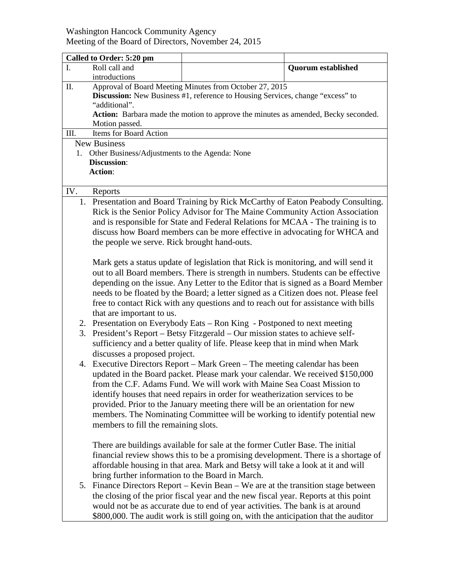## Washington Hancock Community Agency Meeting of the Board of Directors, November 24, 2015

|                                                      | Called to Order: 5:20 pm                                                           |                                                                                      |                           |  |  |
|------------------------------------------------------|------------------------------------------------------------------------------------|--------------------------------------------------------------------------------------|---------------------------|--|--|
| $\mathbf{I}$ .                                       | Roll call and                                                                      |                                                                                      | <b>Quorum established</b> |  |  |
|                                                      | introductions                                                                      |                                                                                      |                           |  |  |
| II.                                                  | Approval of Board Meeting Minutes from October 27, 2015                            |                                                                                      |                           |  |  |
|                                                      | Discussion: New Business #1, reference to Housing Services, change "excess" to     |                                                                                      |                           |  |  |
|                                                      | "additional".                                                                      |                                                                                      |                           |  |  |
|                                                      | Action: Barbara made the motion to approve the minutes as amended, Becky seconded. |                                                                                      |                           |  |  |
| Motion passed.                                       |                                                                                    |                                                                                      |                           |  |  |
| Items for Board Action<br>III.                       |                                                                                    |                                                                                      |                           |  |  |
| <b>New Business</b>                                  |                                                                                    |                                                                                      |                           |  |  |
| Other Business/Adjustments to the Agenda: None<br>1. |                                                                                    |                                                                                      |                           |  |  |
|                                                      | Discussion:                                                                        |                                                                                      |                           |  |  |
| <b>Action:</b>                                       |                                                                                    |                                                                                      |                           |  |  |
|                                                      |                                                                                    |                                                                                      |                           |  |  |
| IV.                                                  | Reports                                                                            |                                                                                      |                           |  |  |
|                                                      | 1. Presentation and Board Training by Rick McCarthy of Eaton Peabody Consulting.   |                                                                                      |                           |  |  |
|                                                      | Rick is the Senior Policy Advisor for The Maine Community Action Association       |                                                                                      |                           |  |  |
|                                                      | and is responsible for State and Federal Relations for MCAA - The training is to   |                                                                                      |                           |  |  |
|                                                      | discuss how Board members can be more effective in advocating for WHCA and         |                                                                                      |                           |  |  |
|                                                      | the people we serve. Rick brought hand-outs.                                       |                                                                                      |                           |  |  |
|                                                      |                                                                                    |                                                                                      |                           |  |  |
|                                                      | Mark gets a status update of legislation that Rick is monitoring, and will send it |                                                                                      |                           |  |  |
|                                                      | out to all Board members. There is strength in numbers. Students can be effective  |                                                                                      |                           |  |  |
|                                                      | depending on the issue. Any Letter to the Editor that is signed as a Board Member  |                                                                                      |                           |  |  |
|                                                      |                                                                                    | needs to be floated by the Board; a letter signed as a Citizen does not. Please feel |                           |  |  |
|                                                      |                                                                                    | free to contact Rick with any questions and to reach out for assistance with bills   |                           |  |  |
|                                                      | that are important to us.                                                          |                                                                                      |                           |  |  |
|                                                      |                                                                                    | 2. Presentation on Everybody Eats – Ron King - Postponed to next meeting             |                           |  |  |
|                                                      | 3. President's Report – Betsy Fitzgerald – Our mission states to achieve self-     |                                                                                      |                           |  |  |
|                                                      | sufficiency and a better quality of life. Please keep that in mind when Mark       |                                                                                      |                           |  |  |
|                                                      | discusses a proposed project.                                                      |                                                                                      |                           |  |  |
|                                                      |                                                                                    | 4. Executive Directors Report - Mark Green - The meeting calendar has been           |                           |  |  |
|                                                      |                                                                                    | updated in the Board packet. Please mark your calendar. We received \$150,000        |                           |  |  |
|                                                      |                                                                                    | from the C.F. Adams Fund. We will work with Maine Sea Coast Mission to               |                           |  |  |
|                                                      |                                                                                    | identify houses that need repairs in order for weatherization services to be         |                           |  |  |
|                                                      |                                                                                    | provided. Prior to the January meeting there will be an orientation for new          |                           |  |  |
|                                                      |                                                                                    | members. The Nominating Committee will be working to identify potential new          |                           |  |  |
|                                                      | members to fill the remaining slots.                                               |                                                                                      |                           |  |  |
|                                                      |                                                                                    |                                                                                      |                           |  |  |
|                                                      |                                                                                    | There are buildings available for sale at the former Cutler Base. The initial        |                           |  |  |
|                                                      |                                                                                    | financial review shows this to be a promising development. There is a shortage of    |                           |  |  |
|                                                      |                                                                                    | affordable housing in that area. Mark and Betsy will take a look at it and will      |                           |  |  |
|                                                      | bring further information to the Board in March.                                   |                                                                                      |                           |  |  |
|                                                      |                                                                                    | 5. Finance Directors Report – Kevin Bean – We are at the transition stage between    |                           |  |  |
|                                                      |                                                                                    | the closing of the prior fiscal year and the new fiscal year. Reports at this point  |                           |  |  |
|                                                      |                                                                                    |                                                                                      |                           |  |  |
|                                                      |                                                                                    | would not be as accurate due to end of year activities. The bank is at around        |                           |  |  |
|                                                      |                                                                                    | \$800,000. The audit work is still going on, with the anticipation that the auditor  |                           |  |  |